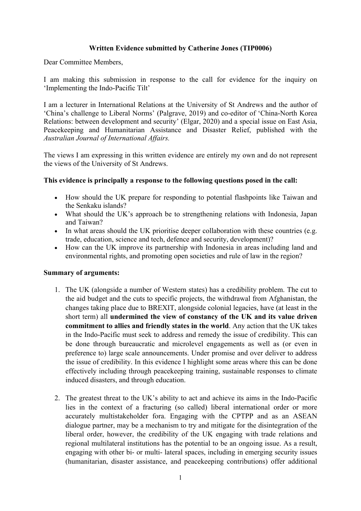# **Written Evidence submitted by Catherine Jones (TIP0006)**

Dear Committee Members,

I am making this submission in response to the call for evidence for the inquiry on 'Implementing the Indo-Pacific Tilt'

I am a lecturer in International Relations at the University of St Andrews and the author of 'China's challenge to Liberal Norms' (Palgrave, 2019) and co-editor of 'China-North Korea Relations: between development and security' (Elgar, 2020) and a special issue on East Asia, Peacekeeping and Humanitarian Assistance and Disaster Relief, published with the *Australian Journal of International Affairs.*

The views I am expressing in this written evidence are entirely my own and do not represent the views of the University of St Andrews.

### **This evidence is principally a response to the following questions posed in the call:**

- How should the UK prepare for responding to potential flashpoints like Taiwan and the Senkaku islands?
- What should the UK's approach be to strengthening relations with Indonesia, Japan and Taiwan?
- In what areas should the UK prioritise deeper collaboration with these countries (e.g. trade, education, science and tech, defence and security, development)?
- How can the UK improve its partnership with Indonesia in areas including land and environmental rights, and promoting open societies and rule of law in the region?

#### **Summary of arguments:**

- 1. The UK (alongside a number of Western states) has a credibility problem. The cut to the aid budget and the cuts to specific projects, the withdrawal from Afghanistan, the changes taking place due to BREXIT, alongside colonial legacies, have (at least in the short term) all **undermined the view of constancy of the UK and its value driven commitment to allies and friendly states in the world**. Any action that the UK takes in the Indo-Pacific must seek to address and remedy the issue of credibility. This can be done through bureaucratic and microlevel engagements as well as (or even in preference to) large scale announcements. Under promise and over deliver to address the issue of credibility. In this evidence I highlight some areas where this can be done effectively including through peacekeeping training, sustainable responses to climate induced disasters, and through education.
- 2. The greatest threat to the UK's ability to act and achieve its aims in the Indo-Pacific lies in the context of a fracturing (so called) liberal international order or more accurately multistakeholder fora. Engaging with the CPTPP and as an ASEAN dialogue partner, may be a mechanism to try and mitigate for the disintegration of the liberal order, however, the credibility of the UK engaging with trade relations and regional multilateral institutions has the potential to be an ongoing issue. As a result, engaging with other bi- or multi- lateral spaces, including in emerging security issues (humanitarian, disaster assistance, and peacekeeping contributions) offer additional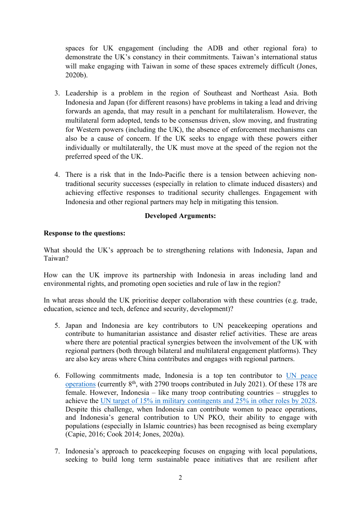spaces for UK engagement (including the ADB and other regional fora) to demonstrate the UK's constancy in their commitments. Taiwan's international status will make engaging with Taiwan in some of these spaces extremely difficult (Jones, 2020b).

- 3. Leadership is a problem in the region of Southeast and Northeast Asia. Both Indonesia and Japan (for different reasons) have problems in taking a lead and driving forwards an agenda, that may result in a penchant for multilateralism. However, the multilateral form adopted, tends to be consensus driven, slow moving, and frustrating for Western powers (including the UK), the absence of enforcement mechanisms can also be a cause of concern. If the UK seeks to engage with these powers either individually or multilaterally, the UK must move at the speed of the region not the preferred speed of the UK.
- 4. There is a risk that in the Indo-Pacific there is a tension between achieving nontraditional security successes (especially in relation to climate induced disasters) and achieving effective responses to traditional security challenges. Engagement with Indonesia and other regional partners may help in mitigating this tension.

# **Developed Arguments:**

### **Response to the questions:**

What should the UK's approach be to strengthening relations with Indonesia, Japan and Taiwan?

How can the UK improve its partnership with Indonesia in areas including land and environmental rights, and promoting open societies and rule of law in the region?

In what areas should the UK prioritise deeper collaboration with these countries (e.g. trade, education, science and tech, defence and security, development)?

- 5. Japan and Indonesia are key contributors to UN peacekeeping operations and contribute to humanitarian assistance and disaster relief activities. These are areas where there are potential practical synergies between the involvement of the UK with regional partners (both through bilateral and multilateral engagement platforms). They are also key areas where China contributes and engages with regional partners.
- 6. Following commitments made, Indonesia is a top ten contributor to [UN](https://peacekeeping.un.org/en/troop-and-police-contributors) [peace](https://peacekeeping.un.org/en/troop-and-police-contributors) [operations](https://peacekeeping.un.org/en/troop-and-police-contributors) (currently 8<sup>th</sup>, with 2790 troops contributed in July 2021). Of these 178 are female. However, Indonesia – like many troop contributing countries – struggles to achieve the [UN](https://peacekeeping.un.org/en/women-peacekeeping) [target](https://peacekeeping.un.org/en/women-peacekeeping) [of](https://peacekeeping.un.org/en/women-peacekeeping) [15%](https://peacekeeping.un.org/en/women-peacekeeping) [in](https://peacekeeping.un.org/en/women-peacekeeping) [military](https://peacekeeping.un.org/en/women-peacekeeping) [contingents](https://peacekeeping.un.org/en/women-peacekeeping) [and](https://peacekeeping.un.org/en/women-peacekeeping) [25%](https://peacekeeping.un.org/en/women-peacekeeping) [in](https://peacekeeping.un.org/en/women-peacekeeping) [other](https://peacekeeping.un.org/en/women-peacekeeping) [roles](https://peacekeeping.un.org/en/women-peacekeeping) [by](https://peacekeeping.un.org/en/women-peacekeeping) [2028](https://peacekeeping.un.org/en/women-peacekeeping). Despite this challenge, when Indonesia can contribute women to peace operations, and Indonesia's general contribution to UN PKO, their ability to engage with populations (especially in Islamic countries) has been recognised as being exemplary (Capie, 2016; Cook 2014; Jones, 2020a).
- 7. Indonesia's approach to peacekeeping focuses on engaging with local populations, seeking to build long term sustainable peace initiatives that are resilient after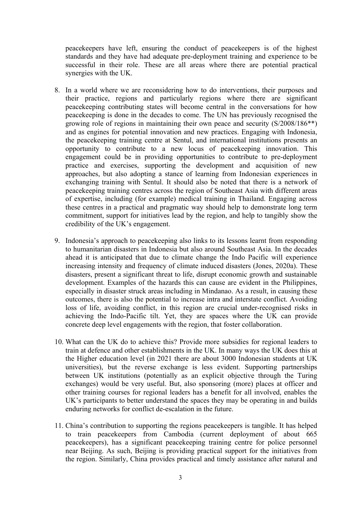peacekeepers have left, ensuring the conduct of peacekeepers is of the highest standards and they have had adequate pre-deployment training and experience to be successful in their role. These are all areas where there are potential practical synergies with the UK.

- 8. In a world where we are reconsidering how to do interventions, their purposes and their practice, regions and particularly regions where there are significant peacekeeping contributing states will become central in the conversations for how peacekeeping is done in the decades to come. The UN has previously recognised the growing role of regions in maintaining their own peace and security (S/2008/186\*\*) and as engines for potential innovation and new practices. Engaging with Indonesia, the peacekeeping training centre at Sentul, and international institutions presents an opportunity to contribute to a new locus of peacekeeping innovation. This engagement could be in providing opportunities to contribute to pre-deployment practice and exercises, supporting the development and acquisition of new approaches, but also adopting a stance of learning from Indonesian experiences in exchanging training with Sentul. It should also be noted that there is a network of peacekeeping training centres across the region of Southeast Asia with different areas of expertise, including (for example) medical training in Thailand. Engaging across these centres in a practical and pragmatic way should help to demonstrate long term commitment, support for initiatives lead by the region, and help to tangibly show the credibility of the UK's engagement.
- 9. Indonesia's approach to peacekeeping also links to its lessons learnt from responding to humanitarian disasters in Indonesia but also around Southeast Asia. In the decades ahead it is anticipated that due to climate change the Indo Pacific will experience increasing intensity and frequency of climate induced disasters (Jones, 2020a). These disasters, present a significant threat to life, disrupt economic growth and sustainable development. Examples of the hazards this can cause are evident in the Philippines, especially in disaster struck areas including in Mindanao. As a result, in causing these outcomes, there is also the potential to increase intra and interstate conflict. Avoiding loss of life, avoiding conflict, in this region are crucial under-recognised risks in achieving the Indo-Pacific tilt. Yet, they are spaces where the UK can provide concrete deep level engagements with the region, that foster collaboration.
- 10. What can the UK do to achieve this? Provide more subsidies for regional leaders to train at defence and other establishments in the UK. In many ways the UK does this at the Higher education level (in 2021 there are about 3000 Indonesian students at UK universities), but the reverse exchange is less evident. Supporting partnerships between UK institutions (potentially as an explicit objective through the Turing exchanges) would be very useful. But, also sponsoring (more) places at officer and other training courses for regional leaders has a benefit for all involved, enables the UK's participants to better understand the spaces they may be operating in and builds enduring networks for conflict de-escalation in the future.
- 11. China's contribution to supporting the regions peacekeepers is tangible. It has helped to train peacekeepers from Cambodia (current deployment of about 665 peacekeepers), has a significant peacekeeping training centre for police personnel near Beijing. As such, Beijing is providing practical support for the initiatives from the region. Similarly, China provides practical and timely assistance after natural and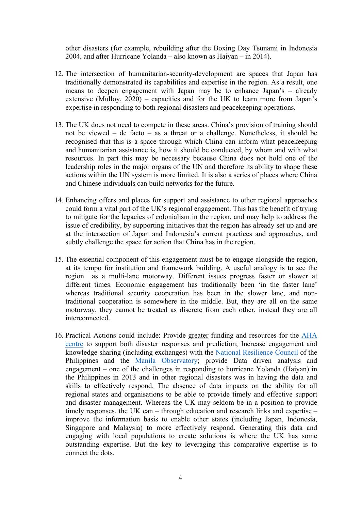other disasters (for example, rebuilding after the Boxing Day Tsunami in Indonesia 2004, and after Hurricane Yolanda – also known as Haiyan – in 2014).

- 12. The intersection of humanitarian-security-development are spaces that Japan has traditionally demonstrated its capabilities and expertise in the region. As a result, one means to deepen engagement with Japan may be to enhance Japan's – already extensive (Mulloy, 2020) – capacities and for the UK to learn more from Japan's expertise in responding to both regional disasters and peacekeeping operations.
- 13. The UK does not need to compete in these areas. China's provision of training should not be viewed – de facto – as a threat or a challenge. Nonetheless, it should be recognised that this is a space through which China can inform what peacekeeping and humanitarian assistance is, how it should be conducted, by whom and with what resources. In part this may be necessary because China does not hold one of the leadership roles in the major organs of the UN and therefore its ability to shape these actions within the UN system is more limited. It is also a series of places where China and Chinese individuals can build networks for the future.
- 14. Enhancing offers and places for support and assistance to other regional approaches could form a vital part of the UK's regional engagement. This has the benefit of trying to mitigate for the legacies of colonialism in the region, and may help to address the issue of credibility, by supporting initiatives that the region has already set up and are at the intersection of Japan and Indonesia's current practices and approaches, and subtly challenge the space for action that China has in the region.
- 15. The essential component of this engagement must be to engage alongside the region, at its tempo for institution and framework building. A useful analogy is to see the region as a multi-lane motorway. Different issues progress faster or slower at different times. Economic engagement has traditionally been 'in the faster lane' whereas traditional security cooperation has been in the slower lane, and nontraditional cooperation is somewhere in the middle. But, they are all on the same motorway, they cannot be treated as discrete from each other, instead they are all interconnected.
- 16. Practical Actions could include: Provide greater funding and resources for the [AHA](https://ahacentre.org/) [centre](https://ahacentre.org/) to support both disaster responses and prediction; Increase engagement and knowledge sharing (including exchanges) with the [National](https://resiliencecouncil.ph/our-partners/) [Resilience](https://resiliencecouncil.ph/our-partners/) [Council](https://resiliencecouncil.ph/our-partners/) of the Philippines and the [Manila](http://www.observatory.ph/) [Observatory;](http://www.observatory.ph/) provide Data driven analysis and engagement – one of the challenges in responding to hurricane Yolanda (Haiyan) in the Philippines in 2013 and in other regional disasters was in having the data and skills to effectively respond. The absence of data impacts on the ability for all regional states and organisations to be able to provide timely and effective support and disaster management. Whereas the UK may seldom be in a position to provide timely responses, the UK can – through education and research links and expertise – improve the information basis to enable other states (including Japan, Indonesia, Singapore and Malaysia) to more effectively respond. Generating this data and engaging with local populations to create solutions is where the UK has some outstanding expertise. But the key to leveraging this comparative expertise is to connect the dots.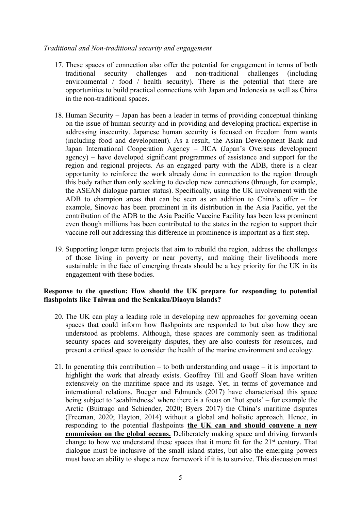## *Traditional and Non-traditional security and engagement*

- 17. These spaces of connection also offer the potential for engagement in terms of both traditional security challenges and non-traditional challenges (including environmental / food / health security). There is the potential that there are opportunities to build practical connections with Japan and Indonesia as well as China in the non-traditional spaces.
- 18. Human Security Japan has been a leader in terms of providing conceptual thinking on the issue of human security and in providing and developing practical expertise in addressing insecurity. Japanese human security is focused on freedom from wants (including food and development). As a result, the Asian Development Bank and Japan International Cooperation Agency – JICA (Japan's Overseas development agency) – have developed significant programmes of assistance and support for the region and regional projects. As an engaged party with the ADB, there is a clear opportunity to reinforce the work already done in connection to the region through this body rather than only seeking to develop new connections (through, for example, the ASEAN dialogue partner status). Specifically, using the UK involvement with the ADB to champion areas that can be seen as an addition to China's offer – for example, Sinovac has been prominent in its distribution in the Asia Pacific, yet the contribution of the ADB to the Asia Pacific Vaccine Facility has been less prominent even though millions has been contributed to the states in the region to support their vaccine roll out addressing this difference in prominence is important as a first step.
- 19. Supporting longer term projects that aim to rebuild the region, address the challenges of those living in poverty or near poverty, and making their livelihoods more sustainable in the face of emerging threats should be a key priority for the UK in its engagement with these bodies.

### **Response to the question: How should the UK prepare for responding to potential flashpoints like Taiwan and the Senkaku/Diaoyu islands?**

- 20. The UK can play a leading role in developing new approaches for governing ocean spaces that could inform how flashpoints are responded to but also how they are understood as problems. Although, these spaces are commonly seen as traditional security spaces and sovereignty disputes, they are also contests for resources, and present a critical space to consider the health of the marine environment and ecology.
- 21. In generating this contribution to both understanding and usage it is important to highlight the work that already exists. Geoffrey Till and Geoff Sloan have written extensively on the maritime space and its usage. Yet, in terms of governance and international relations, Bueger and Edmunds (2017) have characterised this space being subject to 'seablindness' where there is a focus on 'hot spots' – for example the Arctic (Buitrago and Schiender, 2020; Byers 2017) the China's maritime disputes (Freeman, 2020; Hayton, 2014) without a global and holistic approach. Hence, in responding to the potential flashpoints **the UK can and should convene a new commission on the global oceans.** Deliberately making space and driving forwards change to how we understand these spaces that it more fit for the 21st century. That dialogue must be inclusive of the small island states, but also the emerging powers must have an ability to shape a new framework if it is to survive. This discussion must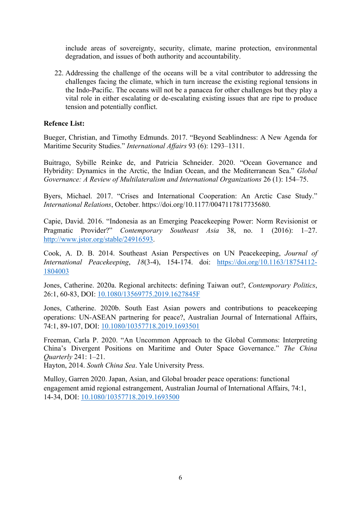include areas of sovereignty, security, climate, marine protection, environmental degradation, and issues of both authority and accountability.

22. Addressing the challenge of the oceans will be a vital contributor to addressing the challenges facing the climate, which in turn increase the existing regional tensions in the Indo-Pacific. The oceans will not be a panacea for other challenges but they play a vital role in either escalating or de-escalating existing issues that are ripe to produce tension and potentially conflict.

#### **Refence List:**

Bueger, Christian, and Timothy Edmunds. 2017. "Beyond Seablindness: A New Agenda for Maritime Security Studies." *International Affairs* 93 (6): 1293–1311.

Buitrago, Sybille Reinke de, and Patricia Schneider. 2020. "Ocean Governance and Hybridity: Dynamics in the Arctic, the Indian Ocean, and the Mediterranean Sea." *Global Governance: A Review of Multilateralism and International Organizations* 26 (1): 154–75.

Byers, Michael. 2017. "Crises and International Cooperation: An Arctic Case Study." *International Relations*, October. https://doi.org/10.1177/0047117817735680.

Capie, David. 2016. "Indonesia as an Emerging Peacekeeping Power: Norm Revisionist or Pragmatic Provider?" *Contemporary Southeast Asia* 38, no. 1 (2016): 1–27. [http://www.jstor.org/stable/24916593.](http://www.jstor.org/stable/24916593)

Cook, A. D. B. 2014. Southeast Asian Perspectives on UN Peacekeeping, *Journal of International Peacekeeping*, *18*(3-4), 154-174. doi: [https://doi.org/10.1163/18754112-](https://doi.org/10.1163/18754112-1804003) [1804003](https://doi.org/10.1163/18754112-1804003)

Jones, Catherine. 2020a. Regional architects: defining Taiwan out?, *Contemporary Politics*, 26:1, 60-83, DOI: [10.1080/13569775.2019.1627845](https://doi.org/10.1080/13569775.2019.1627845)F

Jones, Catherine. 2020b. South East Asian powers and contributions to peacekeeping operations: UN-ASEAN partnering for peace?, Australian Journal of International Affairs, 74:1, 89-107, DOI: [10.1080/10357718.2019.1693501](https://doi.org/10.1080/10357718.2019.1693501)

Freeman, Carla P. 2020. "An Uncommon Approach to the Global Commons: Interpreting China's Divergent Positions on Maritime and Outer Space Governance." *The China Quarterly* 241: 1–21.

Hayton, 2014. *South China Sea*. Yale University Press.

Mulloy, Garren 2020. Japan, Asian, and Global broader peace operations: functional engagement amid regional estrangement, Australian Journal of International Affairs, 74:1, 14-34, DOI: [10.1080/10357718.2019.1693500](https://doi.org/10.1080/10357718.2019.1693500)